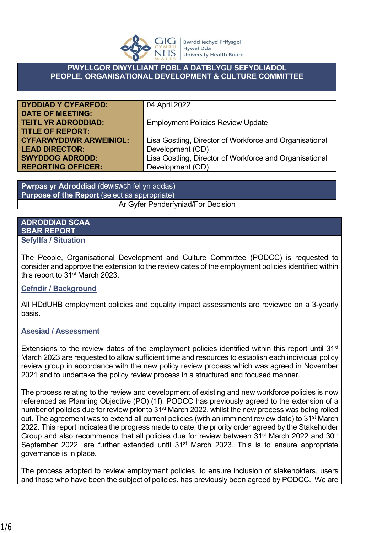

## **PWYLLGOR DIWYLLIANT POBL A DATBLYGU SEFYDLIADOL PEOPLE, ORGANISATIONAL DEVELOPMENT & CULTURE COMMITTEE**

| <b>DYDDIAD Y CYFARFOD:</b>    | 04 April 2022                                           |
|-------------------------------|---------------------------------------------------------|
| <b>DATE OF MEETING:</b>       |                                                         |
| <b>TEITL YR ADRODDIAD:</b>    | <b>Employment Policies Review Update</b>                |
| <b>TITLE OF REPORT:</b>       |                                                         |
| <b>CYFARWYDDWR ARWEINIOL:</b> | Lisa Gostling, Director of Workforce and Organisational |
| <b>LEAD DIRECTOR:</b>         | Development (OD)                                        |
| <b>SWYDDOG ADRODD:</b>        | Lisa Gostling, Director of Workforce and Organisational |
| <b>REPORTING OFFICER:</b>     | Development (OD)                                        |

**Pwrpas yr Adroddiad** (dewiswch fel yn addas) **Purpose of the Report** (select as appropriate) Ar Gyfer Penderfyniad/For Decision

## **ADRODDIAD SCAA SBAR REPORT Sefyllfa / Situation**

The People, Organisational Development and Culture Committee (PODCC) is requested to consider and approve the extension to the review dates of the employment policies identified within this report to 31st March 2023.

## **Cefndir / Background**

All HDdUHB employment policies and equality impact assessments are reviewed on a 3-yearly basis.

## **Asesiad / Assessment**

Extensions to the review dates of the employment policies identified within this report until 31<sup>st</sup> March 2023 are requested to allow sufficient time and resources to establish each individual policy review group in accordance with the new policy review process which was agreed in November 2021 and to undertake the policy review process in a structured and focused manner.

The process relating to the review and development of existing and new workforce policies is now referenced as Planning Objective (PO) (1f). PODCC has previously agreed to the extension of a number of policies due for review prior to 31<sup>st</sup> March 2022, whilst the new process was being rolled out. The agreement was to extend all current policies (with an imminent review date) to 31<sup>st</sup> March 2022. This report indicates the progress made to date, the priority order agreed by the Stakeholder Group and also recommends that all policies due for review between 31<sup>st</sup> March 2022 and 30<sup>th</sup> September 2022, are further extended until 31<sup>st</sup> March 2023. This is to ensure appropriate governance is in place.

The process adopted to review employment policies, to ensure inclusion of stakeholders, users and those who have been the subject of policies, has previously been agreed by PODCC. We are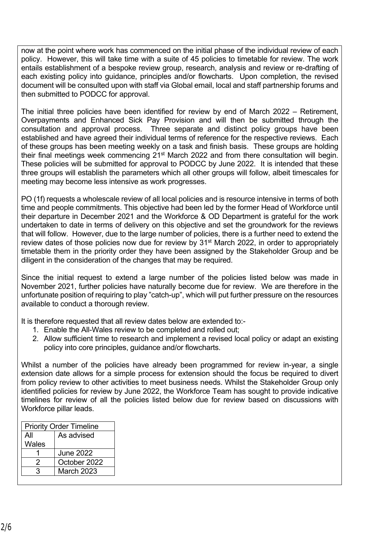now at the point where work has commenced on the initial phase of the individual review of each policy. However, this will take time with a suite of 45 policies to timetable for review. The work entails establishment of a bespoke review group, research, analysis and review or re-drafting of each existing policy into guidance, principles and/or flowcharts. Upon completion, the revised document will be consulted upon with staff via Global email, local and staff partnership forums and then submitted to PODCC for approval.

The initial three policies have been identified for review by end of March 2022 – Retirement, Overpayments and Enhanced Sick Pay Provision and will then be submitted through the consultation and approval process. Three separate and distinct policy groups have been established and have agreed their individual terms of reference for the respective reviews. Each of these groups has been meeting weekly on a task and finish basis. These groups are holding their final meetings week commencing 21<sup>st</sup> March 2022 and from there consultation will begin. These policies will be submitted for approval to PODCC by June 2022. It is intended that these three groups will establish the parameters which all other groups will follow, albeit timescales for meeting may become less intensive as work progresses.

PO (1f) requests a wholescale review of all local policies and is resource intensive in terms of both time and people commitments. This objective had been led by the former Head of Workforce until their departure in December 2021 and the Workforce & OD Department is grateful for the work undertaken to date in terms of delivery on this objective and set the groundwork for the reviews that will follow. However, due to the large number of policies, there is a further need to extend the review dates of those policies now due for review by 31<sup>st</sup> March 2022, in order to appropriately timetable them in the priority order they have been assigned by the Stakeholder Group and be diligent in the consideration of the changes that may be required.

Since the initial request to extend a large number of the policies listed below was made in November 2021, further policies have naturally become due for review. We are therefore in the unfortunate position of requiring to play "catch-up", which will put further pressure on the resources available to conduct a thorough review.

It is therefore requested that all review dates below are extended to:-

- 1. Enable the All-Wales review to be completed and rolled out;
- 2. Allow sufficient time to research and implement a revised local policy or adapt an existing policy into core principles, guidance and/or flowcharts.

Whilst a number of the policies have already been programmed for review in-year, a single extension date allows for a simple process for extension should the focus be required to divert from policy review to other activities to meet business needs. Whilst the Stakeholder Group only identified policies for review by June 2022, the Workforce Team has sought to provide indicative timelines for review of all the policies listed below due for review based on discussions with Workforce pillar leads.

| <b>Priority Order Timeline</b> |  |
|--------------------------------|--|
| As advised                     |  |
|                                |  |
| <b>June 2022</b>               |  |
| October 2022                   |  |
| March 2023                     |  |
|                                |  |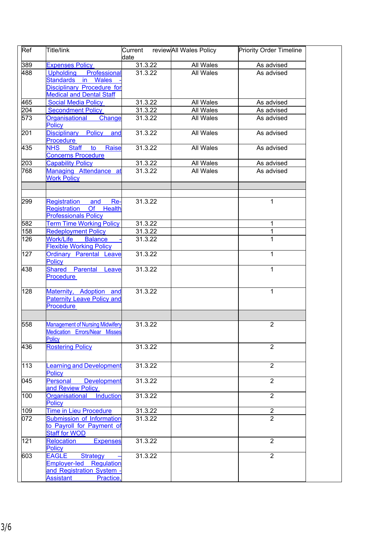| Ref | Title/link                                                                              | Current | reviewAll Wales Policy | <b>Priority Order Timeline</b> |  |
|-----|-----------------------------------------------------------------------------------------|---------|------------------------|--------------------------------|--|
|     |                                                                                         | ldate   |                        |                                |  |
| 389 | <b>Expenses Policy</b>                                                                  | 31.3.22 | All Wales              | As advised                     |  |
| 488 | Upholding Professional                                                                  | 31.3.22 | All Wales              | As advised                     |  |
|     | Standards in Wales                                                                      |         |                        |                                |  |
|     | Disciplinary Procedure for                                                              |         |                        |                                |  |
|     | <b>Medical and Dental Staff</b>                                                         |         |                        |                                |  |
| 465 | <b>Social Media Policy</b>                                                              | 31.3.22 | All Wales              | As advised                     |  |
| 204 | <b>Secondment Policy</b>                                                                | 31.3.22 | All Wales              | As advised                     |  |
| 573 |                                                                                         |         |                        |                                |  |
|     | Organisational Change<br><b>Policy</b>                                                  | 31.3.22 | All Wales              | As advised                     |  |
| 201 | Disciplinary Policy<br>and<br>Procedure                                                 | 31.3.22 | All Wales              | As advised                     |  |
| 435 | <b>NHS</b> Staff<br>to<br>Raise<br><b>Concerns Procedure</b>                            | 31.3.22 | <b>All Wales</b>       | As advised                     |  |
| 203 | <b>Capability Policy</b>                                                                | 31.3.22 | All Wales              | As advised                     |  |
| 768 |                                                                                         | 31.3.22 | All Wales              | As advised                     |  |
|     | Managing Attendance at<br><b>Work Policy</b>                                            |         |                        |                                |  |
|     |                                                                                         |         |                        |                                |  |
| 299 | Registration<br>and<br>Re-<br>Registration Of Health                                    | 31.3.22 |                        | 1                              |  |
|     | <b>Professionals Policy</b>                                                             |         |                        |                                |  |
| 582 | <b>Term Time Working Policy</b>                                                         | 31.3.22 |                        | 1                              |  |
| 158 | <b>Redeployment Policy</b>                                                              | 31.3.22 |                        | 1                              |  |
| 126 | <b>Work/Life</b><br><b>Balance</b><br><b>Flexible Working Policy</b>                    | 31.3.22 |                        | 1                              |  |
| 127 | <b>Ordinary Parental Leave</b><br><b>Policy</b>                                         | 31.3.22 |                        | $\mathbf{1}$                   |  |
| 438 | <b>Shared Parental Leave</b><br><b>Procedure</b>                                        | 31.3.22 |                        | 1                              |  |
| 128 | Maternity, Adoption and<br><b>Paternity Leave Policy and</b><br><b>Procedure</b>        | 31.3.22 |                        | 1                              |  |
| 558 | <b>Management of Nursing Midwifery</b>                                                  | 31.3.22 |                        | $\overline{2}$                 |  |
|     | <b>Medication Errors/Near Misses</b><br><b>Policy</b>                                   |         |                        |                                |  |
| 436 | <b>Rostering Policy</b>                                                                 | 31.3.22 |                        | $\overline{2}$                 |  |
| 113 | earning and Development<br><b>Policy</b>                                                | 31.3.22 |                        | $\overline{2}$                 |  |
| 045 | Personal<br><b>Development</b><br>and Review Policy                                     | 31.3.22 |                        | $\overline{2}$                 |  |
| 100 | Induction<br><b>Organisational</b><br><b>Policy</b>                                     | 31.3.22 |                        | $\overline{2}$                 |  |
| 109 | Time in Lieu Procedure                                                                  | 31.3.22 |                        | $\overline{2}$                 |  |
| 072 | Submission of Information                                                               | 31.3.22 |                        | $\overline{2}$                 |  |
|     | to Payroll for Payment of<br><b>Staff for WOD</b>                                       |         |                        |                                |  |
| 121 | Relocation<br><b>Expenses</b>                                                           | 31.3.22 |                        | $\overline{2}$                 |  |
|     | <b>Policy</b>                                                                           |         |                        | $\overline{2}$                 |  |
| 603 | EAGLE<br><b>Strategy</b><br><b>Employer-led Regulation</b><br>and Registration System - | 31.3.22 |                        |                                |  |
|     | <b>Assistant</b><br>Practice,                                                           |         |                        |                                |  |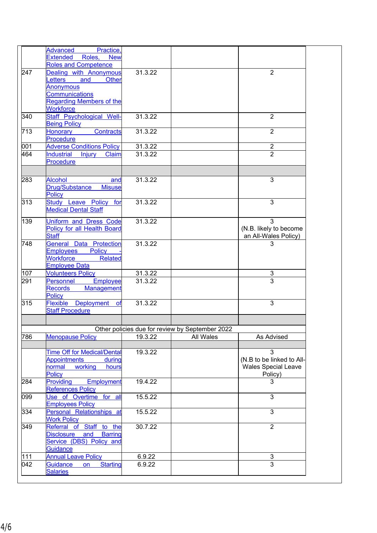|     | Advanced<br>Practice,                                |         |                                                 |                            |
|-----|------------------------------------------------------|---------|-------------------------------------------------|----------------------------|
|     | Extended<br>Roles,<br><b>New</b>                     |         |                                                 |                            |
|     | <b>Roles and Competence</b>                          |         |                                                 |                            |
| 247 | Dealing with Anonymous                               | 31.3.22 |                                                 | $\overline{2}$             |
|     | <b>Letters</b><br>and<br><b>Other</b>                |         |                                                 |                            |
|     | Anonymous                                            |         |                                                 |                            |
|     | <b>Communications</b>                                |         |                                                 |                            |
|     | <b>Regarding Members of the</b>                      |         |                                                 |                            |
|     | Workforce                                            |         |                                                 |                            |
| 340 | Staff Psychological Well-                            | 31.3.22 |                                                 | $\overline{2}$             |
|     | <b>Being Policy</b>                                  |         |                                                 |                            |
| 713 | Contracts<br><b>Honorary</b>                         | 31.3.22 |                                                 | $\overline{2}$             |
|     | <b>Procedure</b>                                     |         |                                                 |                            |
| 001 | <b>Adverse Conditions Policy</b>                     | 31.3.22 |                                                 | $\overline{2}$             |
| 464 |                                                      |         |                                                 | $\overline{2}$             |
|     | Industrial Injury Claim                              | 31.3.22 |                                                 |                            |
|     | Procedure                                            |         |                                                 |                            |
|     |                                                      |         |                                                 |                            |
| 283 | <b>Alcohol</b><br>and                                | 31.3.22 |                                                 | 3                          |
|     | Drug/Substance<br><b>Misuse</b>                      |         |                                                 |                            |
|     |                                                      |         |                                                 |                            |
|     | Policy                                               |         |                                                 |                            |
| 313 | Study Leave Policy for                               | 31.3.22 |                                                 | 3                          |
|     | <b>Medical Dental Staff</b>                          |         |                                                 |                            |
| 139 | Uniform and Dress Code                               | 31.3.22 |                                                 | 3                          |
|     | <b>Policy for all Health Board</b>                   |         |                                                 |                            |
|     |                                                      |         |                                                 | (N.B. likely to become     |
|     | <b>Staff</b>                                         |         |                                                 | an All-Wales Policy)       |
| 748 | <b>General Data Protection</b>                       | 31.3.22 |                                                 | 3                          |
|     | <b>Employees</b><br><b>Policy</b>                    |         |                                                 |                            |
|     | Workforce<br><b>Related</b>                          |         |                                                 |                            |
|     | <b>Employee Data</b>                                 |         |                                                 |                            |
| 107 | <b>Volunteers Policy</b>                             | 31.3.22 |                                                 | 3                          |
| 291 | Employee<br>Personnel                                | 31.3.22 |                                                 | $\overline{3}$             |
|     | Records<br>Management                                |         |                                                 |                            |
|     | <b>Policy</b>                                        |         |                                                 |                            |
| 315 |                                                      | 31.3.22 |                                                 | 3                          |
|     | Flexible Deployment<br><b>of</b>                     |         |                                                 |                            |
|     | <b>Staff Procedure</b>                               |         |                                                 |                            |
|     |                                                      |         |                                                 |                            |
|     |                                                      |         | Other policies due for review by September 2022 |                            |
| 786 | <b>Menopause Policy</b>                              | 19.3.22 | All Wales                                       | As Advised                 |
|     |                                                      |         |                                                 |                            |
|     |                                                      | 19.3.22 |                                                 | 3                          |
|     | <b>Time Off for Medical/Dental</b>                   |         |                                                 |                            |
|     | <b>Appointments</b><br>during                        |         |                                                 | (N.B to be linked to All-  |
|     | working<br>normal<br>hours                           |         |                                                 | <b>Wales Special Leave</b> |
|     | Policy                                               |         |                                                 | Policy)                    |
| 284 | Providing<br>Employment                              | 19.4.22 |                                                 | 3                          |
|     | <b>References Policy</b>                             |         |                                                 |                            |
| 099 | Use of Overtime for all                              | 15.5.22 |                                                 | 3                          |
|     |                                                      |         |                                                 |                            |
|     |                                                      |         |                                                 | $\overline{3}$             |
|     | <b>Employees Policy</b>                              |         |                                                 |                            |
| 334 | Personal Relationships at                            | 15.5.22 |                                                 |                            |
|     | <b>Work Policy</b>                                   |         |                                                 |                            |
| 349 | Referral of Staff to the                             | 30.7.22 |                                                 | $\overline{2}$             |
|     | Disclosure and Barring                               |         |                                                 |                            |
|     | Service (DBS) Policy and                             |         |                                                 |                            |
|     | Guidance                                             |         |                                                 |                            |
| 111 | <b>Annual Leave Policy</b>                           | 6.9.22  |                                                 | 3                          |
|     |                                                      |         |                                                 | 3                          |
| 042 | <b>Starting</b><br>Guidance<br>on<br><b>Salaries</b> | 6.9.22  |                                                 |                            |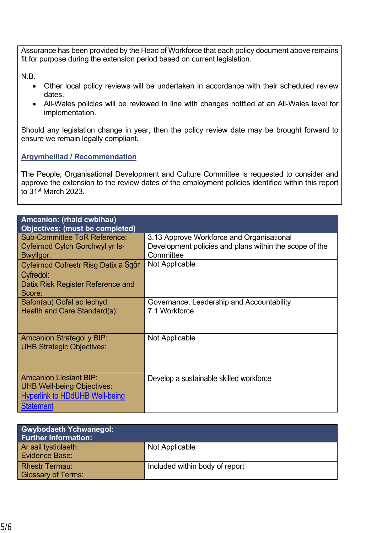Assurance has been provided by the Head of Workforce that each policy document above remains fit for purpose during the extension period based on current legislation.

N.B.

- Other local policy reviews will be undertaken in accordance with their scheduled review dates.
- All-Wales policies will be reviewed in line with changes notified at an All-Wales level for implementation.

Should any legislation change in year, then the policy review date may be brought forward to ensure we remain legally compliant.

**Argymhelliad / Recommendation**

The People, Organisational Development and Culture Committee is requested to consider and approve the extension to the review dates of the employment policies identified within this report to 31st March 2023.

| Amcanion: (rhaid cwblhau)             |                                                        |
|---------------------------------------|--------------------------------------------------------|
| Objectives: (must be completed)       |                                                        |
| <b>Sub-Committee ToR Reference:</b>   | 3.13 Approve Workforce and Organisational              |
| Cyfeirnod Cylch Gorchwyl yr Is-       | Development policies and plans within the scope of the |
| Bwyllgor:                             | Committee                                              |
|                                       |                                                        |
| Cyfeirnod Cofrestr Risg Datix a Sgôr  | Not Applicable                                         |
| Cyfredol:                             |                                                        |
| Datix Risk Register Reference and     |                                                        |
| Score:                                |                                                        |
|                                       |                                                        |
| Safon(au) Gofal ac lechyd:            | Governance, Leadership and Accountability              |
| Health and Care Standard(s):          | 7.1 Workforce                                          |
|                                       |                                                        |
|                                       |                                                        |
| <b>Amcanion Strategol y BIP:</b>      | Not Applicable                                         |
| <b>UHB Strategic Objectives:</b>      |                                                        |
|                                       |                                                        |
|                                       |                                                        |
|                                       |                                                        |
| <b>Amcanion Llesiant BIP:</b>         | Develop a sustainable skilled workforce                |
| <b>UHB Well-being Objectives:</b>     |                                                        |
|                                       |                                                        |
| <b>Hyperlink to HDdUHB Well-being</b> |                                                        |
| <b>Statement</b>                      |                                                        |

| <b>Gwybodaeth Ychwanegol:</b><br><b>Further Information:</b> |                                |
|--------------------------------------------------------------|--------------------------------|
| Ar sail tystiolaeth:<br><b>Evidence Base:</b>                | Not Applicable                 |
| <b>Rhestr Termau:</b><br><b>Glossary of Terms:</b>           | Included within body of report |